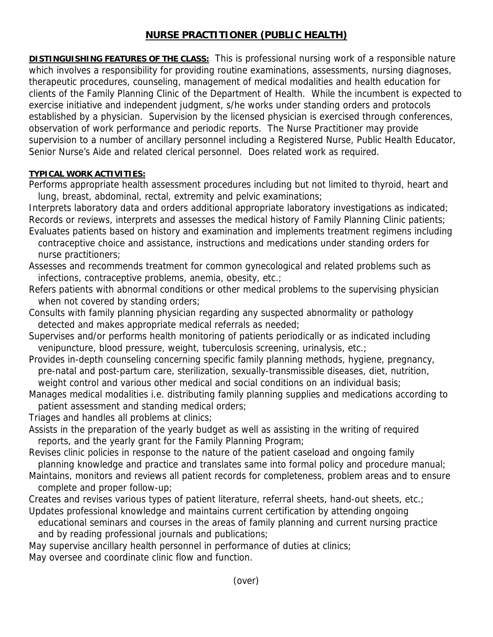## **NURSE PRACTITIONER (PUBLIC HEALTH)**

**DISTINGUISHING FEATURES OF THE CLASS:** This is professional nursing work of a responsible nature which involves a responsibility for providing routine examinations, assessments, nursing diagnoses, therapeutic procedures, counseling, management of medical modalities and health education for clients of the Family Planning Clinic of the Department of Health. While the incumbent is expected to exercise initiative and independent judgment, s/he works under standing orders and protocols established by a physician. Supervision by the licensed physician is exercised through conferences, observation of work performance and periodic reports. The Nurse Practitioner may provide supervision to a number of ancillary personnel including a Registered Nurse, Public Health Educator, Senior Nurse's Aide and related clerical personnel. Does related work as required.

## **TYPICAL WORK ACTIVITIES:**

Performs appropriate health assessment procedures including but not limited to thyroid, heart and lung, breast, abdominal, rectal, extremity and pelvic examinations;

Interprets laboratory data and orders additional appropriate laboratory investigations as indicated; Records or reviews, interprets and assesses the medical history of Family Planning Clinic patients; Evaluates patients based on history and examination and implements treatment regimens including

- contraceptive choice and assistance, instructions and medications under standing orders for nurse practitioners;
- Assesses and recommends treatment for common gynecological and related problems such as infections, contraceptive problems, anemia, obesity, etc.;
- Refers patients with abnormal conditions or other medical problems to the supervising physician when not covered by standing orders;
- Consults with family planning physician regarding any suspected abnormality or pathology detected and makes appropriate medical referrals as needed;
- Supervises and/or performs health monitoring of patients periodically or as indicated including venipuncture, blood pressure, weight, tuberculosis screening, urinalysis, etc.;
- Provides in-depth counseling concerning specific family planning methods, hygiene, pregnancy, pre-natal and post-partum care, sterilization, sexually-transmissible diseases, diet, nutrition, weight control and various other medical and social conditions on an individual basis;
- Manages medical modalities i.e. distributing family planning supplies and medications according to patient assessment and standing medical orders;
- Triages and handles all problems at clinics;
- Assists in the preparation of the yearly budget as well as assisting in the writing of required reports, and the yearly grant for the Family Planning Program;
- Revises clinic policies in response to the nature of the patient caseload and ongoing family planning knowledge and practice and translates same into formal policy and procedure manual;
- Maintains, monitors and reviews all patient records for completeness, problem areas and to ensure complete and proper follow-up;
- Creates and revises various types of patient literature, referral sheets, hand-out sheets, etc.; Updates professional knowledge and maintains current certification by attending ongoing
- educational seminars and courses in the areas of family planning and current nursing practice and by reading professional journals and publications;
- May supervise ancillary health personnel in performance of duties at clinics;
- May oversee and coordinate clinic flow and function.